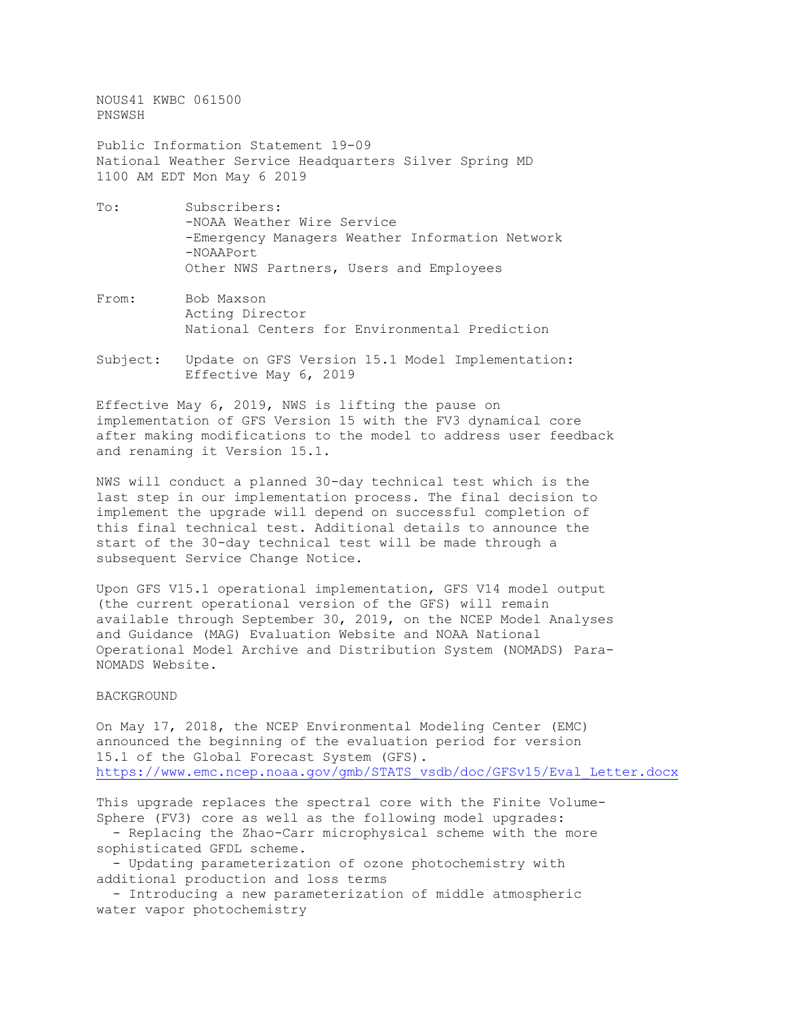NOUS41 KWBC 061500 PNSWSH

Public Information Statement 19-09 National Weather Service Headquarters Silver Spring MD 1100 AM EDT Mon May 6 2019

- To: Subscribers: -NOAA Weather Wire Service -Emergency Managers Weather Information Network -NOAAPort Other NWS Partners, Users and Employees
- From: Bob Maxson Acting Director National Centers for Environmental Prediction
- Subject: Update on GFS Version 15.1 Model Implementation: Effective May 6, 2019

Effective May 6, 2019, NWS is lifting the pause on implementation of GFS Version 15 with the FV3 dynamical core after making modifications to the model to address user feedback and renaming it Version 15.1.

NWS will conduct a planned 30-day technical test which is the last step in our implementation process. The final decision to implement the upgrade will depend on successful completion of this final technical test. Additional details to announce the start of the 30-day technical test will be made through a subsequent Service Change Notice.

Upon GFS V15.1 operational implementation, GFS V14 model output (the current operational version of the GFS) will remain available through September 30, 2019, on the NCEP Model Analyses and Guidance (MAG) Evaluation Website and NOAA National Operational Model Archive and Distribution System (NOMADS) Para-NOMADS Website.

## BACKGROUND

On May 17, 2018, the NCEP Environmental Modeling Center (EMC) announced the beginning of the evaluation period for version 15.1 of the Global Forecast System (GFS). [https://www.emc.ncep.noaa.gov/gmb/STATS\\_vsdb/doc/GFSv15/Eval\\_Letter.docx](https://www.emc.ncep.noaa.gov/gmb/STATS_vsdb/doc/GFSv15/Eval_Letter.docx)

This upgrade replaces the spectral core with the Finite Volume-Sphere (FV3) core as well as the following model upgrades:

- Replacing the Zhao-Carr microphysical scheme with the more sophisticated GFDL scheme.

- Updating parameterization of ozone photochemistry with additional production and loss terms

- Introducing a new parameterization of middle atmospheric water vapor photochemistry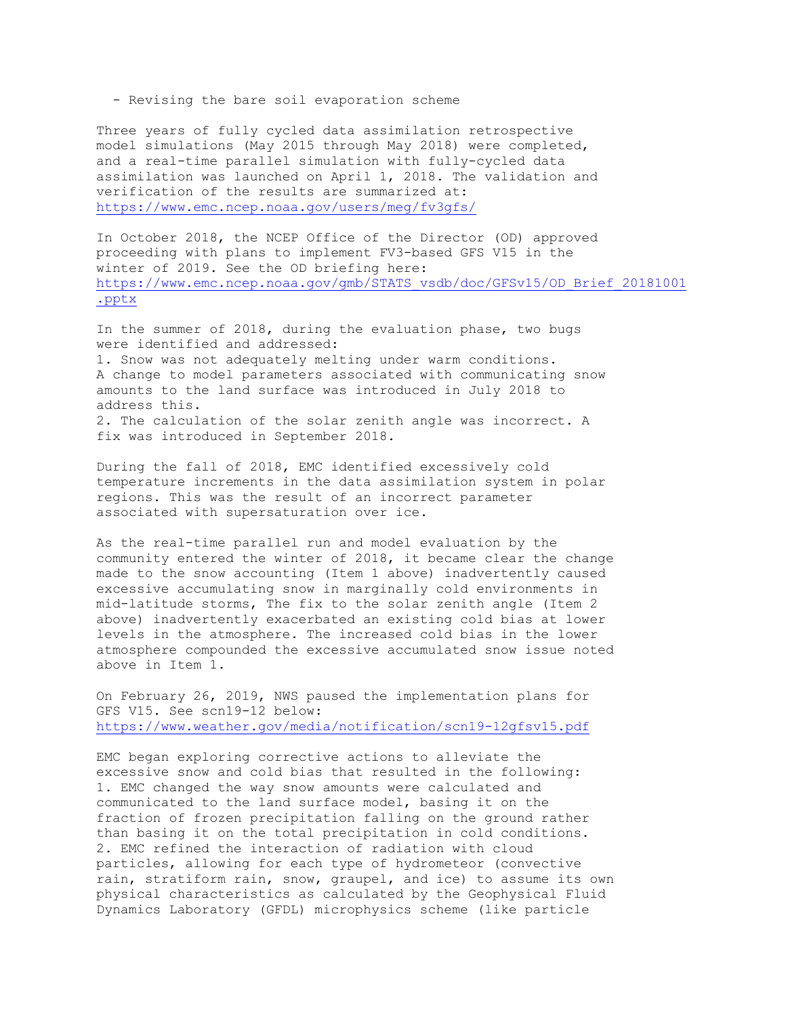- Revising the bare soil evaporation scheme

Three years of fully cycled data assimilation retrospective model simulations (May 2015 through May 2018) were completed, and a real-time parallel simulation with fully-cycled data assimilation was launched on April 1, 2018. The validation and verification of the results are summarized at: <https://www.emc.ncep.noaa.gov/users/meg/fv3gfs/>

In October 2018, the NCEP Office of the Director (OD) approved proceeding with plans to implement FV3-based GFS V15 in the winter of 2019. See the OD briefing here: [https://www.emc.ncep.noaa.gov/gmb/STATS\\_vsdb/doc/GFSv15/OD\\_Brief\\_20181001](https://www.emc.ncep.noaa.gov/gmb/STATS_vsdb/doc/GFSv15/OD_Brief_20181001.pptx) [.pptx](https://www.emc.ncep.noaa.gov/gmb/STATS_vsdb/doc/GFSv15/OD_Brief_20181001.pptx)

In the summer of 2018, during the evaluation phase, two bugs were identified and addressed: 1. Snow was not adequately melting under warm conditions. A change to model parameters associated with communicating snow amounts to the land surface was introduced in July 2018 to address this. 2. The calculation of the solar zenith angle was incorrect. A

fix was introduced in September 2018.

During the fall of 2018, EMC identified excessively cold temperature increments in the data assimilation system in polar regions. This was the result of an incorrect parameter associated with supersaturation over ice.

As the real-time parallel run and model evaluation by the community entered the winter of 2018, it became clear the change made to the snow accounting (Item 1 above) inadvertently caused excessive accumulating snow in marginally cold environments in mid-latitude storms, The fix to the solar zenith angle (Item 2 above) inadvertently exacerbated an existing cold bias at lower levels in the atmosphere. The increased cold bias in the lower atmosphere compounded the excessive accumulated snow issue noted above in Item 1.

On February 26, 2019, NWS paused the implementation plans for GFS V15. See scn19-12 below: <https://www.weather.gov/media/notification/scn19-12gfsv15.pdf>

EMC began exploring corrective actions to alleviate the excessive snow and cold bias that resulted in the following: 1. EMC changed the way snow amounts were calculated and communicated to the land surface model, basing it on the fraction of frozen precipitation falling on the ground rather than basing it on the total precipitation in cold conditions. 2. EMC refined the interaction of radiation with cloud particles, allowing for each type of hydrometeor (convective rain, stratiform rain, snow, graupel, and ice) to assume its own physical characteristics as calculated by the Geophysical Fluid Dynamics Laboratory (GFDL) microphysics scheme (like particle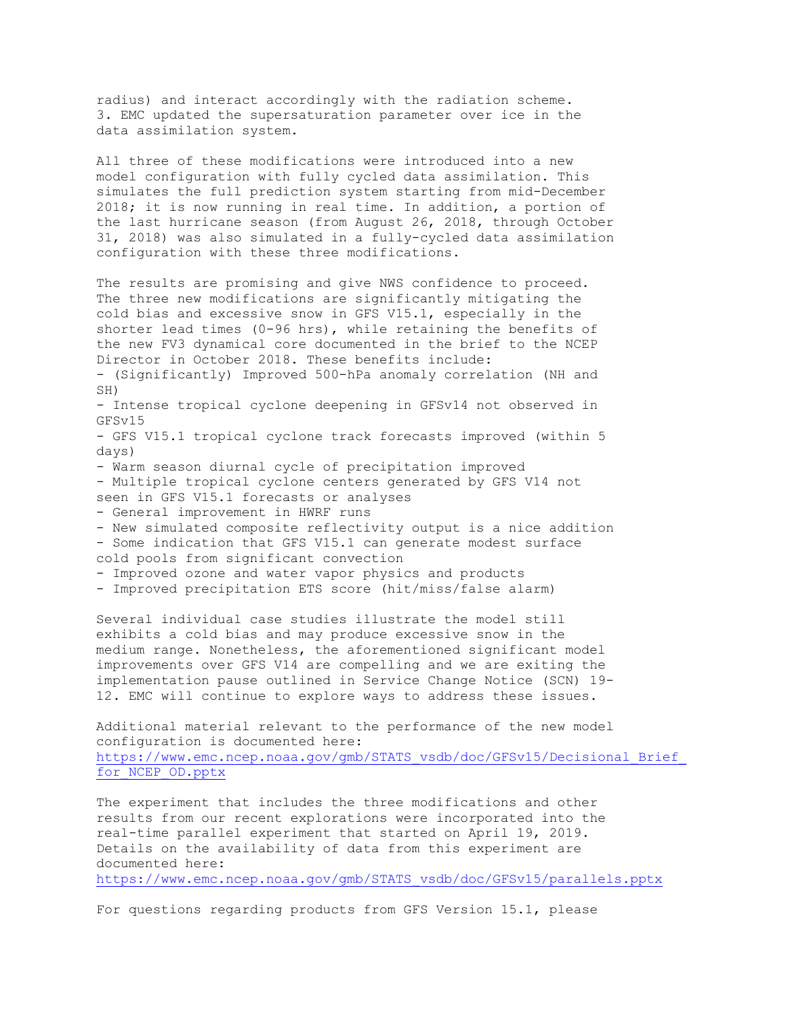radius) and interact accordingly with the radiation scheme. 3. EMC updated the supersaturation parameter over ice in the data assimilation system.

All three of these modifications were introduced into a new model configuration with fully cycled data assimilation. This simulates the full prediction system starting from mid-December 2018; it is now running in real time. In addition, a portion of the last hurricane season (from August 26, 2018, through October 31, 2018) was also simulated in a fully-cycled data assimilation configuration with these three modifications.

The results are promising and give NWS confidence to proceed. The three new modifications are significantly mitigating the cold bias and excessive snow in GFS V15.1, especially in the shorter lead times (0-96 hrs), while retaining the benefits of the new FV3 dynamical core documented in the brief to the NCEP Director in October 2018. These benefits include:

- (Significantly) Improved 500-hPa anomaly correlation (NH and SH)

- Intense tropical cyclone deepening in GFSv14 not observed in GFSv15

- GFS V15.1 tropical cyclone track forecasts improved (within 5 days)

- Warm season diurnal cycle of precipitation improved

- Multiple tropical cyclone centers generated by GFS V14 not seen in GFS V15.1 forecasts or analyses

- General improvement in HWRF runs
- New simulated composite reflectivity output is a nice addition

- Some indication that GFS V15.1 can generate modest surface

- cold pools from significant convection
- Improved ozone and water vapor physics and products
- Improved precipitation ETS score (hit/miss/false alarm)

Several individual case studies illustrate the model still exhibits a cold bias and may produce excessive snow in the medium range. Nonetheless, the aforementioned significant model improvements over GFS V14 are compelling and we are exiting the implementation pause outlined in Service Change Notice (SCN) 19- 12. EMC will continue to explore ways to address these issues.

Additional material relevant to the performance of the new model configuration is documented here: https://www.emc.ncep.noaa.gov/gmb/STATS\_vsdb/doc/GFSv15/Decisional\_Brief for NCEP OD.pptx

The experiment that includes the three modifications and other results from our recent explorations were incorporated into the real-time parallel experiment that started on April 19, 2019. Details on the availability of data from this experiment are documented here:

[https://www.emc.ncep.noaa.gov/gmb/STATS\\_vsdb/doc/GFSv15/parallels.pptx](https://www.emc.ncep.noaa.gov/gmb/STATS_vsdb/doc/GFSv15/parallels.pptx)

For questions regarding products from GFS Version 15.1, please